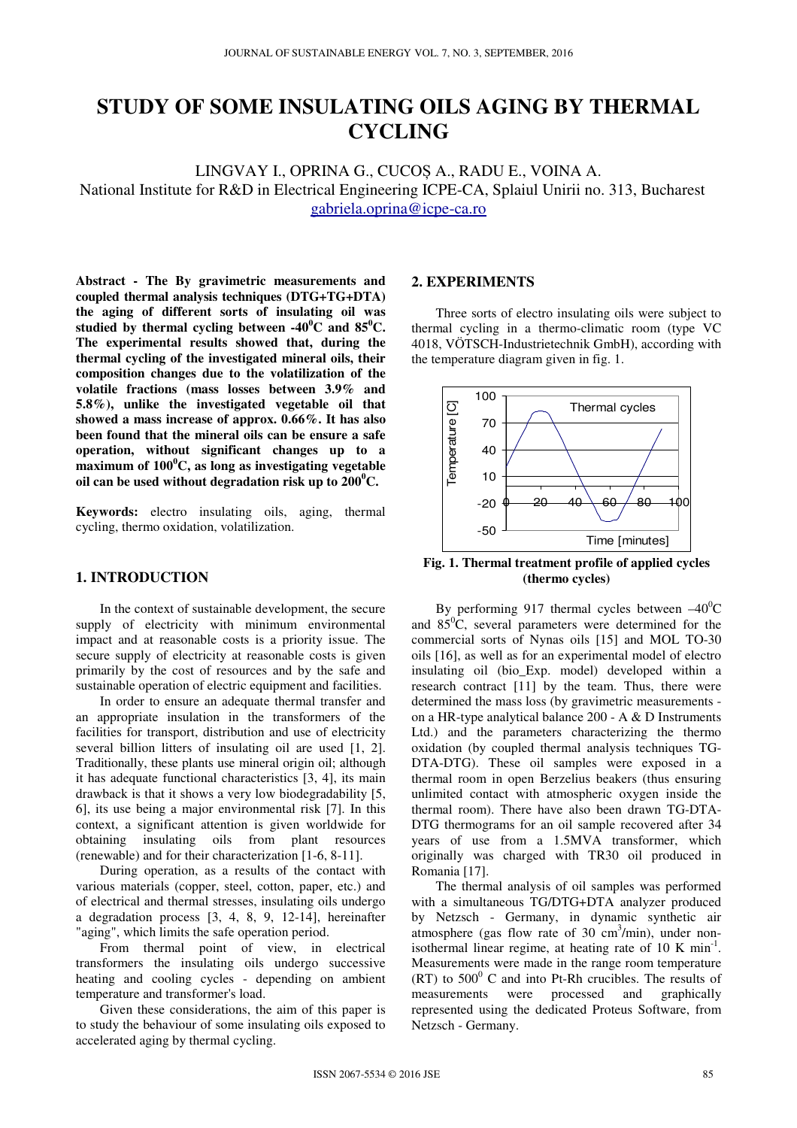# **STUDY OF SOME INSULATING OILS AGING BY THERMAL CYCLING**

LINGVAY I., OPRINA G., CUCOȘ A., RADU E., VOINA A. National Institute for R&D in Electrical Engineering ICPE-CA, Splaiul Unirii no. 313, Bucharest gabriela.oprina@icpe-ca.ro

**Abstract - The By gravimetric measurements and coupled thermal analysis techniques (DTG+TG+DTA) the aging of different sorts of insulating oil was studied by thermal cycling between**  $-40^{\circ}$ **C and**  $85^{\circ}$ **C. The experimental results showed that, during the thermal cycling of the investigated mineral oils, their composition changes due to the volatilization of the volatile fractions (mass losses between 3.9% and 5.8%), unlike the investigated vegetable oil that showed a mass increase of approx. 0.66%. It has also been found that the mineral oils can be ensure a safe operation, without significant changes up to a maximum of 100<sup>0</sup>C, as long as investigating vegetable oil can be used without degradation risk up to 200<sup>0</sup>C.** 

**Keywords:** electro insulating oils, aging, thermal cycling, thermo oxidation, volatilization.

# **1. INTRODUCTION**

In the context of sustainable development, the secure supply of electricity with minimum environmental impact and at reasonable costs is a priority issue. The secure supply of electricity at reasonable costs is given primarily by the cost of resources and by the safe and sustainable operation of electric equipment and facilities.

In order to ensure an adequate thermal transfer and an appropriate insulation in the transformers of the facilities for transport, distribution and use of electricity several billion litters of insulating oil are used [1, 2]. Traditionally, these plants use mineral origin oil; although it has adequate functional characteristics [3, 4], its main drawback is that it shows a very low biodegradability [5, 6], its use being a major environmental risk [7]. In this context, a significant attention is given worldwide for obtaining insulating oils from plant resources (renewable) and for their characterization [1-6, 8-11].

During operation, as a results of the contact with various materials (copper, steel, cotton, paper, etc.) and of electrical and thermal stresses, insulating oils undergo a degradation process [3, 4, 8, 9, 12-14], hereinafter "aging", which limits the safe operation period.

From thermal point of view, in electrical transformers the insulating oils undergo successive heating and cooling cycles - depending on ambient temperature and transformer's load.

Given these considerations, the aim of this paper is to study the behaviour of some insulating oils exposed to accelerated aging by thermal cycling.

#### **2. EXPERIMENTS**

Three sorts of electro insulating oils were subject to thermal cycling in a thermo-climatic room (type VC 4018, VÖTSCH-Industrietechnik GmbH), according with the temperature diagram given in fig. 1.



**Fig. 1. Thermal treatment profile of applied cycles (thermo cycles)** 

By performing 917 thermal cycles between  $-40^{\circ}$ C and  $85^{\circ}$ C, several parameters were determined for the commercial sorts of Nynas oils [15] and MOL TO-30 oils [16], as well as for an experimental model of electro insulating oil (bio\_Exp. model) developed within a research contract [11] by the team. Thus, there were determined the mass loss (by gravimetric measurements on a HR-type analytical balance 200 - A & D Instruments Ltd.) and the parameters characterizing the thermo oxidation (by coupled thermal analysis techniques TG-DTA-DTG). These oil samples were exposed in a thermal room in open Berzelius beakers (thus ensuring unlimited contact with atmospheric oxygen inside the thermal room). There have also been drawn TG-DTA-DTG thermograms for an oil sample recovered after 34 years of use from a 1.5MVA transformer, which originally was charged with TR30 oil produced in Romania [17].

The thermal analysis of oil samples was performed with a simultaneous TG/DTG+DTA analyzer produced by Netzsch - Germany, in dynamic synthetic air atmosphere (gas flow rate of  $30 \text{ cm}^3/\text{min}$ ), under nonisothermal linear regime, at heating rate of  $10 \text{ K min}^{-1}$ . Measurements were made in the range room temperature  $(RT)$  to  $500^{\circ}$  C and into Pt-Rh crucibles. The results of measurements were processed and graphically represented using the dedicated Proteus Software, from Netzsch - Germany.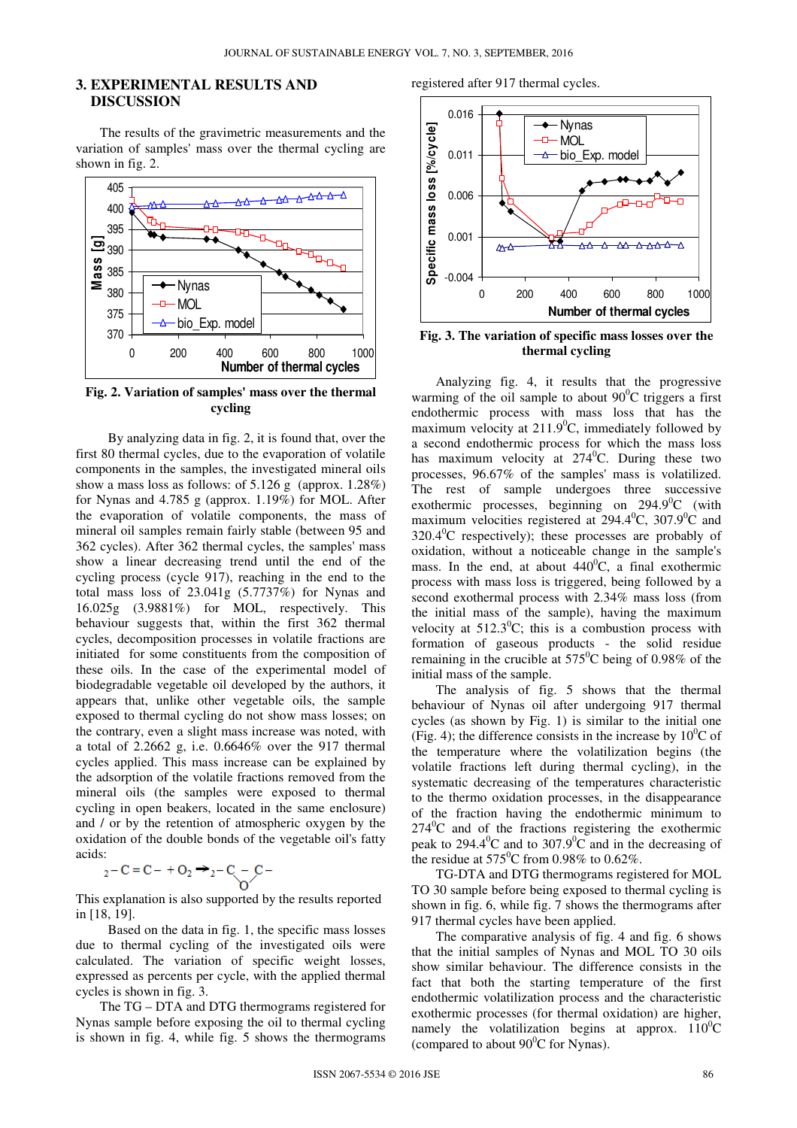## **3. EXPERIMENTAL RESULTS AND DISCUSSION**

The results of the gravimetric measurements and the variation of samples' mass over the thermal cycling are shown in fig. 2.



**Fig. 2. Variation of samples' mass over the thermal cycling** 

By analyzing data in fig. 2, it is found that, over the first 80 thermal cycles, due to the evaporation of volatile components in the samples, the investigated mineral oils show a mass loss as follows: of 5.126 g (approx. 1.28%) for Nynas and 4.785 g (approx. 1.19%) for MOL. After the evaporation of volatile components, the mass of mineral oil samples remain fairly stable (between 95 and 362 cycles). After 362 thermal cycles, the samples' mass show a linear decreasing trend until the end of the cycling process (cycle 917), reaching in the end to the total mass loss of 23.041g (5.7737%) for Nynas and 16.025g (3.9881%) for MOL, respectively. This behaviour suggests that, within the first 362 thermal cycles, decomposition processes in volatile fractions are initiated for some constituents from the composition of these oils. In the case of the experimental model of biodegradable vegetable oil developed by the authors, it appears that, unlike other vegetable oils, the sample exposed to thermal cycling do not show mass losses; on the contrary, even a slight mass increase was noted, with a total of 2.2662 g, i.e. 0.6646% over the 917 thermal cycles applied. This mass increase can be explained by the adsorption of the volatile fractions removed from the mineral oils (the samples were exposed to thermal cycling in open beakers, located in the same enclosure) and / or by the retention of atmospheric oxygen by the oxidation of the double bonds of the vegetable oil's fatty acids:

$$
_{2}-C=C-+O_{2} \rightarrow _{2}-C-C
$$

This explanation is also supported by the results reported in [18, 19].

Based on the data in fig. 1, the specific mass losses due to thermal cycling of the investigated oils were calculated. The variation of specific weight losses, expressed as percents per cycle, with the applied thermal cycles is shown in fig. 3.

The TG – DTA and DTG thermograms registered for Nynas sample before exposing the oil to thermal cycling is shown in fig. 4, while fig. 5 shows the thermograms

registered after 917 thermal cycles.



**Fig. 3. The variation of specific mass losses over the thermal cycling** 

Analyzing fig. 4, it results that the progressive warming of the oil sample to about  $90^{\circ}$ C triggers a first endothermic process with mass loss that has the maximum velocity at  $211.9^{\circ}$ C, immediately followed by a second endothermic process for which the mass loss has maximum velocity at  $274^{\circ}$ C. During these two processes, 96.67% of the samples' mass is volatilized. The rest of sample undergoes three successive exothermic processes, beginning on  $294.9^{\circ}$ C (with maximum velocities registered at  $294.4^{\circ}$ C,  $307.9^{\circ}$ C and  $320.4\degree$ C respectively); these processes are probably of oxidation, without a noticeable change in the sample's mass. In the end, at about  $440^{\circ}$ C, a final exothermic process with mass loss is triggered, being followed by a second exothermal process with 2.34% mass loss (from the initial mass of the sample), having the maximum velocity at  $512.3^{\circ}$ C; this is a combustion process with formation of gaseous products - the solid residue remaining in the crucible at  $575^{\circ}$ C being of 0.98% of the initial mass of the sample.

The analysis of fig. 5 shows that the thermal behaviour of Nynas oil after undergoing 917 thermal cycles (as shown by Fig. 1) is similar to the initial one (Fig. 4); the difference consists in the increase by  $10^{0}$ C of the temperature where the volatilization begins (the volatile fractions left during thermal cycling), in the systematic decreasing of the temperatures characteristic to the thermo oxidation processes, in the disappearance of the fraction having the endothermic minimum to  $274^{\circ}$ C and of the fractions registering the exothermic peak to 294.4<sup>0</sup>C and to 307.9<sup>0</sup>C and in the decreasing of the residue at  $575^{\circ}$ C from 0.98% to 0.62%.

TG-DTA and DTG thermograms registered for MOL TO 30 sample before being exposed to thermal cycling is shown in fig. 6, while fig. 7 shows the thermograms after 917 thermal cycles have been applied.

The comparative analysis of fig. 4 and fig. 6 shows that the initial samples of Nynas and MOL TO 30 oils show similar behaviour. The difference consists in the fact that both the starting temperature of the first endothermic volatilization process and the characteristic exothermic processes (for thermal oxidation) are higher, namely the volatilization begins at approx.  $110^0C$ (compared to about  $90^{\circ}$ C for Nynas).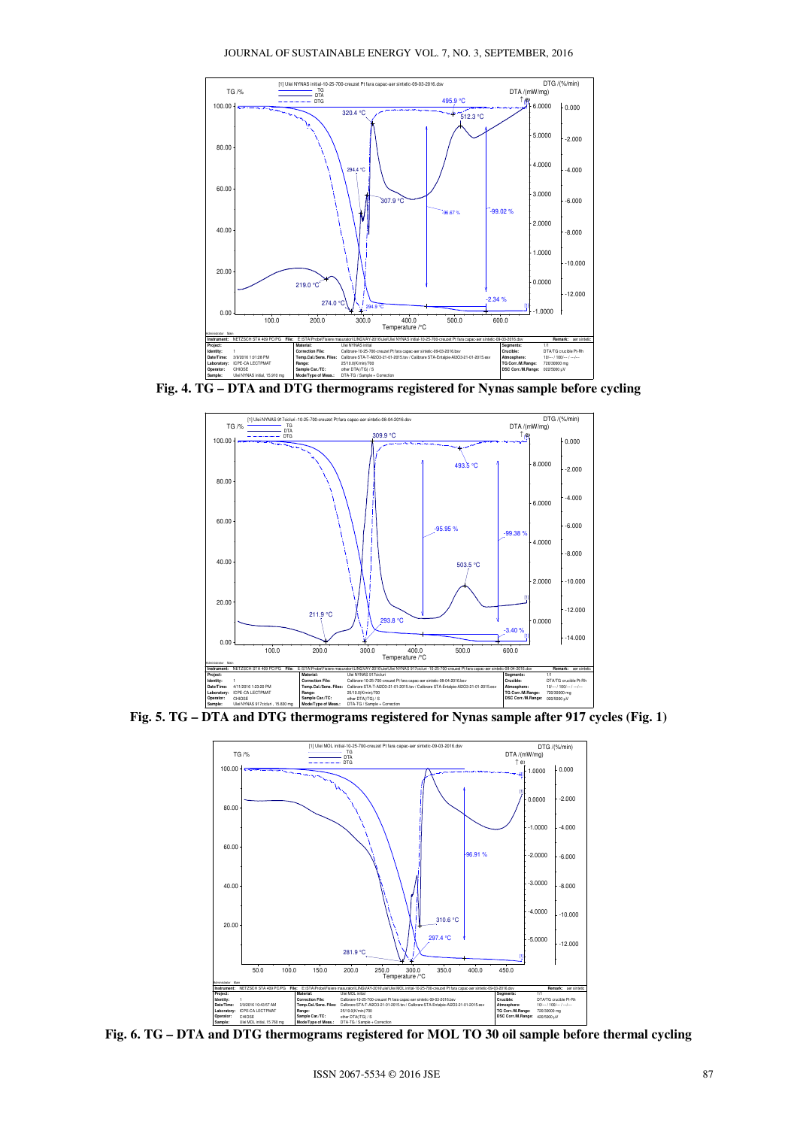JOURNAL OF SUSTAINABLE ENERGY VOL. 7, NO. 3, SEPTEMBER, 2016



**Fig. 4. TG – DTA and DTG thermograms registered for Nynas sample before cycling** 



**Fig. 5. TG – DTA and DTG thermograms registered for Nynas sample after 917 cycles (Fig. 1)** 



**Fig. 6. TG – DTA and DTG thermograms registered for MOL TO 30 oil sample before thermal cycling**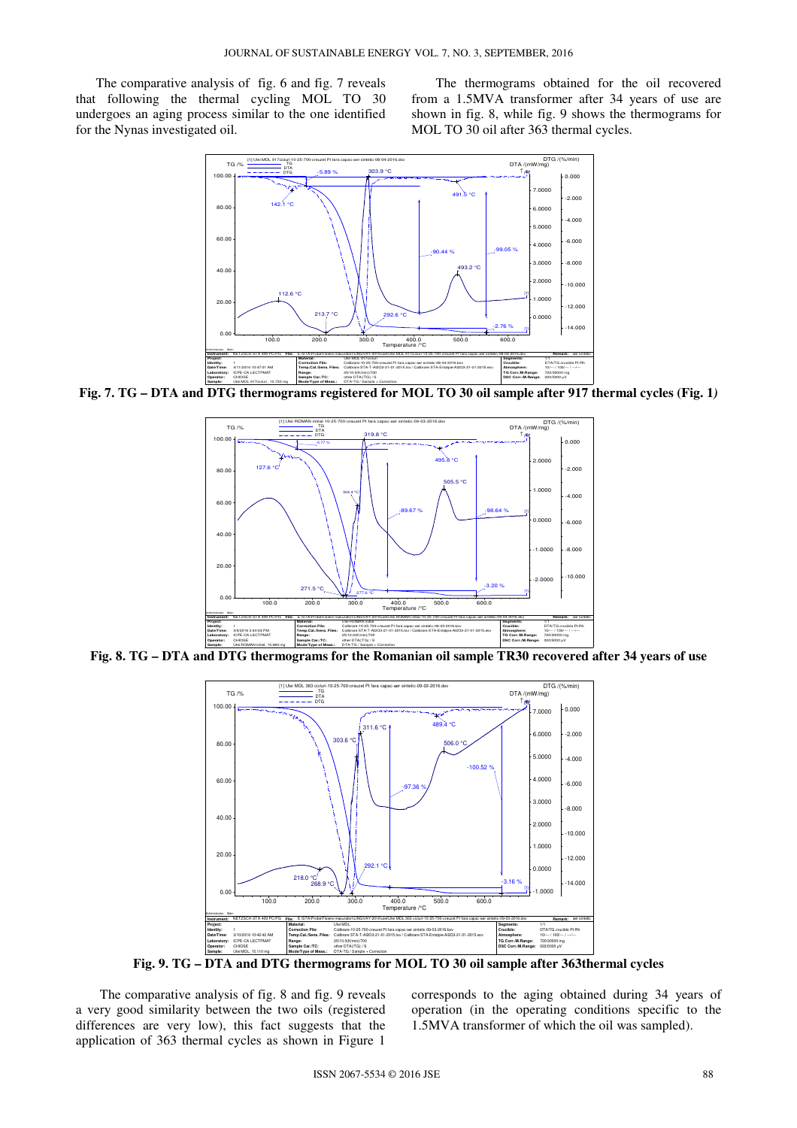The comparative analysis of fig. 6 and fig. 7 reveals that following the thermal cycling MOL TO 30 undergoes an aging process similar to the one identified for the Nynas investigated oil.

The thermograms obtained for the oil recovered from a 1.5MVA transformer after 34 years of use are shown in fig. 8, while fig. 9 shows the thermograms for MOL TO 30 oil after 363 thermal cycles.



**Fig. 7. TG – DTA and DTG thermograms registered for MOL TO 30 oil sample after 917 thermal cycles (Fig. 1***)*



**Fig. 8. TG – DTA and DTG thermograms for the Romanian oil sample TR30 recovered after 34 years of use** 



**Fig. 9. TG – DTA and DTG thermograms for MOL TO 30 oil sample after 363thermal cycles** 

The comparative analysis of fig. 8 and fig. 9 reveals a very good similarity between the two oils (registered differences are very low), this fact suggests that the application of 363 thermal cycles as shown in Figure 1

corresponds to the aging obtained during 34 years of operation (in the operating conditions specific to the 1.5MVA transformer of which the oil was sampled).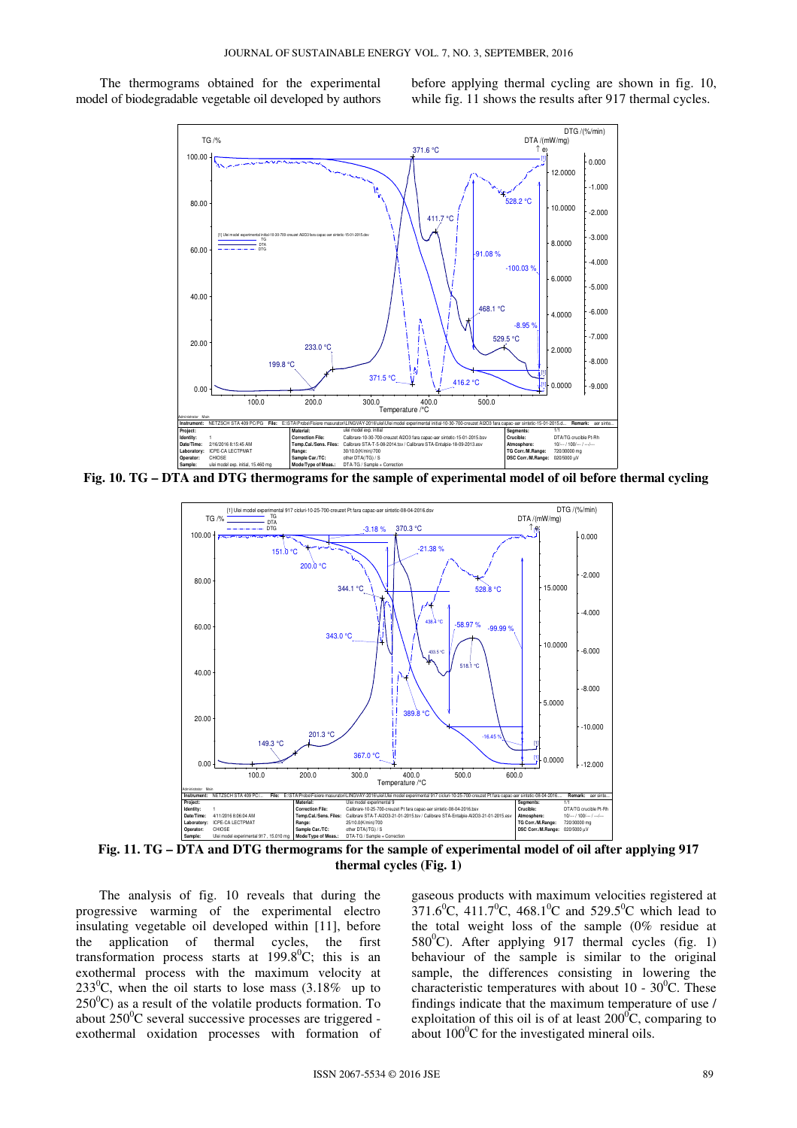The thermograms obtained for the experimental model of biodegradable vegetable oil developed by authors

before applying thermal cycling are shown in fig. 10, while fig. 11 shows the results after 917 thermal cycles.



**Fig. 10. TG – DTA and DTG thermograms for the sample of experimental model of oil before thermal cycling** 



**Fig. 11. TG – DTA and DTG thermograms for the sample of experimental model of oil after applying 917 thermal cycles (Fig. 1)** 

 The analysis of fig. 10 reveals that during the progressive warming of the experimental electro insulating vegetable oil developed within [11], before the application of thermal cycles, the first transformation process starts at  $199.8^{\circ}$ C; this is an exothermal process with the maximum velocity at 233<sup>0</sup>C, when the oil starts to lose mass  $(3.18\%$  up to  $250^{\circ}$ C) as a result of the volatile products formation. To about  $250^{\circ}$ C several successive processes are triggered exothermal oxidation processes with formation of gaseous products with maximum velocities registered at  $371.6^{\circ}$ C,  $411.7^{\circ}$ C,  $468.1^{\circ}$ C and  $529.5^{\circ}$ C which lead to the total weight loss of the sample (0% residue at 580 $^0$ C). After applying 917 thermal cycles (fig. 1) behaviour of the sample is similar to the original sample, the differences consisting in lowering the characteristic temperatures with about 10 -  $30^{\circ}$ C. These findings indicate that the maximum temperature of use / exploitation of this oil is of at least  $200^{\circ}$ C, comparing to about  $100^{\circ}$ C for the investigated mineral oils.